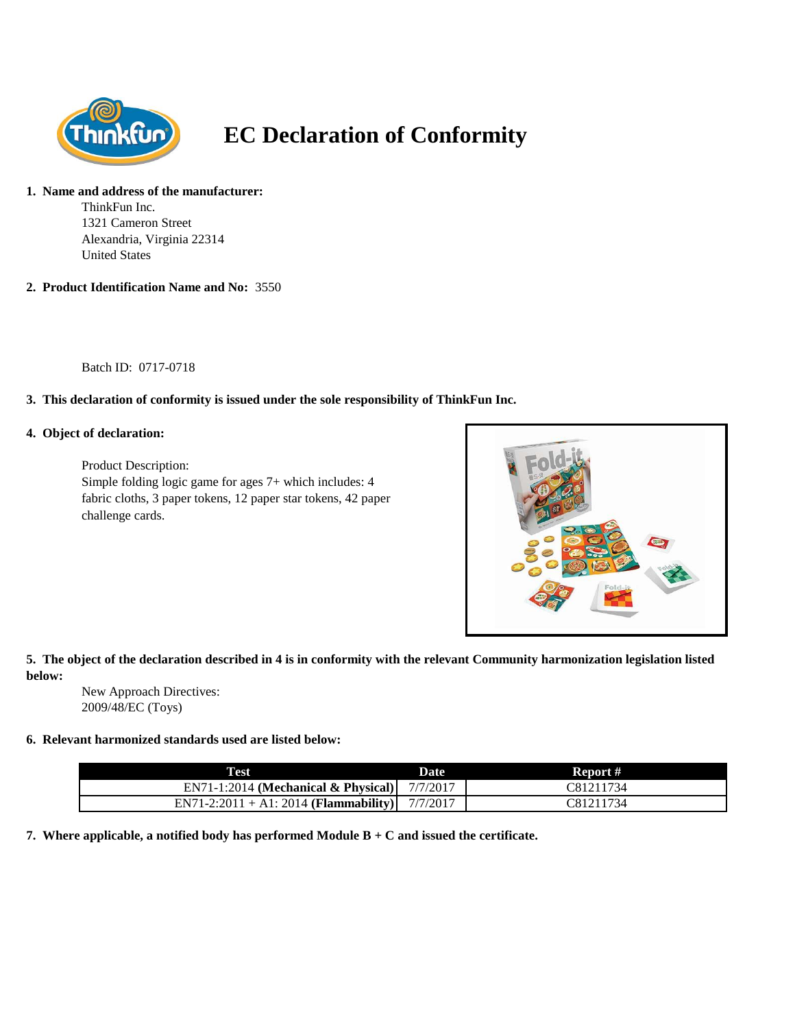

# **EC Declaration of Conformity**

#### **1. Name and address of the manufacturer:**

ThinkFun Inc. 1321 Cameron Street Alexandria, Virginia 22314 United States

**2. Product Identification Name and No:** 3550

Batch ID: 0717-0718

## **3. This declaration of conformity is issued under the sole responsibility of ThinkFun Inc.**

#### **4. Object of declaration:**

Product Description: Simple folding logic game for ages 7+ which includes: 4 fabric cloths, 3 paper tokens, 12 paper star tokens, 42 paper challenge cards.



## **5. The object of the declaration described in 4 is in conformity with the relevant Community harmonization legislation listed below:**

New Approach Directives: 2009/48/EC (Toys)

### **6. Relevant harmonized standards used are listed below:**

| <b>Test</b>                                     | <b>Date</b> | Report #  |
|-------------------------------------------------|-------------|-----------|
| $EN71-1:2014$ (Mechanical & Physical)           | 7/7/2017    | C81211734 |
| $EN71-2:2011 + A1:2014$ ( <b>Flammability</b> ) | 7/7/2017    | C81211734 |

**7. Where applicable, a notified body has performed Module B + C and issued the certificate.**